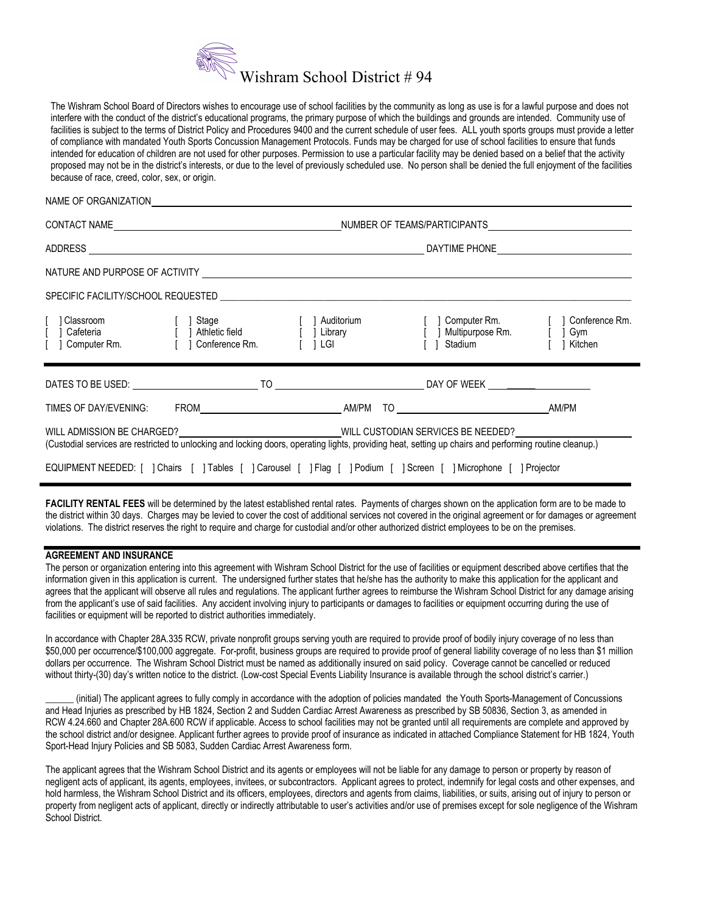

The Wishram School Board of Directors wishes to encourage use of school facilities by the community as long as use is for a lawful purpose and does not interfere with the conduct of the district's educational programs, the primary purpose of which the buildings and grounds are intended. Community use of facilities is subject to the terms of District Policy and Procedures 9400 and the current schedule of user fees. ALL youth sports groups must provide a letter of compliance with mandated Youth Sports Concussion Management Protocols. Funds may be charged for use of school facilities to ensure that funds intended for education of children are not used for other purposes. Permission to use a particular facility may be denied based on a belief that the activity proposed may not be in the district's interests, or due to the level of previously scheduled use. No person shall be denied the full enjoyment of the facilities because of race, creed, color, sex, or origin.

## NAME OF ORGANIZATION

|                                                                                                                                                                                                                          |  |  | [ ] Classroom [ ] Stage [ ] Auditorium [ ] Computer Rm. [ ] Conference Rm.<br>[ ] Cafeteria [ ] Athletic field [ ] Library [ ] Multipurpose Rm. [ ] Gym<br>[ ] Computer Rm. [ ] Conference Rm. [ ] LGI [ ] Stadium [ ] Kitchen |  |  |
|--------------------------------------------------------------------------------------------------------------------------------------------------------------------------------------------------------------------------|--|--|--------------------------------------------------------------------------------------------------------------------------------------------------------------------------------------------------------------------------------|--|--|
|                                                                                                                                                                                                                          |  |  |                                                                                                                                                                                                                                |  |  |
|                                                                                                                                                                                                                          |  |  |                                                                                                                                                                                                                                |  |  |
| WILL ADMISSION BE CHARGED? WILL CUSTODIAN SERVICES BE NEEDED?<br>(Custodial services are restricted to unlocking and locking doors, operating lights, providing heat, setting up chairs and performing routine cleanup.) |  |  |                                                                                                                                                                                                                                |  |  |
| EQUIPMENT NEEDED: [ ] Chairs [ ] Tables [ ] Carousel [ ] Flag [ ] Podium [ ] Screen [ ] Microphone [ ] Projector                                                                                                         |  |  |                                                                                                                                                                                                                                |  |  |

FACILITY RENTAL FEES will be determined by the latest established rental rates. Payments of charges shown on the application form are to be made to the district within 30 days. Charges may be levied to cover the cost of additional services not covered in the original agreement or for damages or agreement violations. The district reserves the right to require and charge for custodial and/or other authorized district employees to be on the premises.

## AGREEMENT AND INSURANCE

The person or organization entering into this agreement with Wishram School District for the use of facilities or equipment described above certifies that the information given in this application is current. The undersigned further states that he/she has the authority to make this application for the applicant and agrees that the applicant will observe all rules and regulations. The applicant further agrees to reimburse the Wishram School District for any damage arising from the applicant's use of said facilities. Any accident involving injury to participants or damages to facilities or equipment occurring during the use of facilities or equipment will be reported to district authorities immediately.

In accordance with Chapter 28A.335 RCW, private nonprofit groups serving youth are required to provide proof of bodily injury coverage of no less than \$50,000 per occurrence/\$100,000 aggregate. For-profit, business groups are required to provide proof of general liability coverage of no less than \$1 million dollars per occurrence. The Wishram School District must be named as additionally insured on said policy. Coverage cannot be cancelled or reduced without thirty-(30) day's written notice to the district. (Low-cost Special Events Liability Insurance is available through the school district's carrier.)

\_\_\_\_\_\_ (initial) The applicant agrees to fully comply in accordance with the adoption of policies mandated the Youth Sports-Management of Concussions and Head Injuries as prescribed by HB 1824, Section 2 and Sudden Cardiac Arrest Awareness as prescribed by SB 50836, Section 3, as amended in RCW 4.24.660 and Chapter 28A.600 RCW if applicable. Access to school facilities may not be granted until all requirements are complete and approved by the school district and/or designee. Applicant further agrees to provide proof of insurance as indicated in attached Compliance Statement for HB 1824, Youth Sport-Head Injury Policies and SB 5083, Sudden Cardiac Arrest Awareness form.

The applicant agrees that the Wishram School District and its agents or employees will not be liable for any damage to person or property by reason of negligent acts of applicant, its agents, employees, invitees, or subcontractors. Applicant agrees to protect, indemnify for legal costs and other expenses, and hold harmless, the Wishram School District and its officers, employees, directors and agents from claims, liabilities, or suits, arising out of injury to person or property from negligent acts of applicant, directly or indirectly attributable to user's activities and/or use of premises except for sole negligence of the Wishram School District.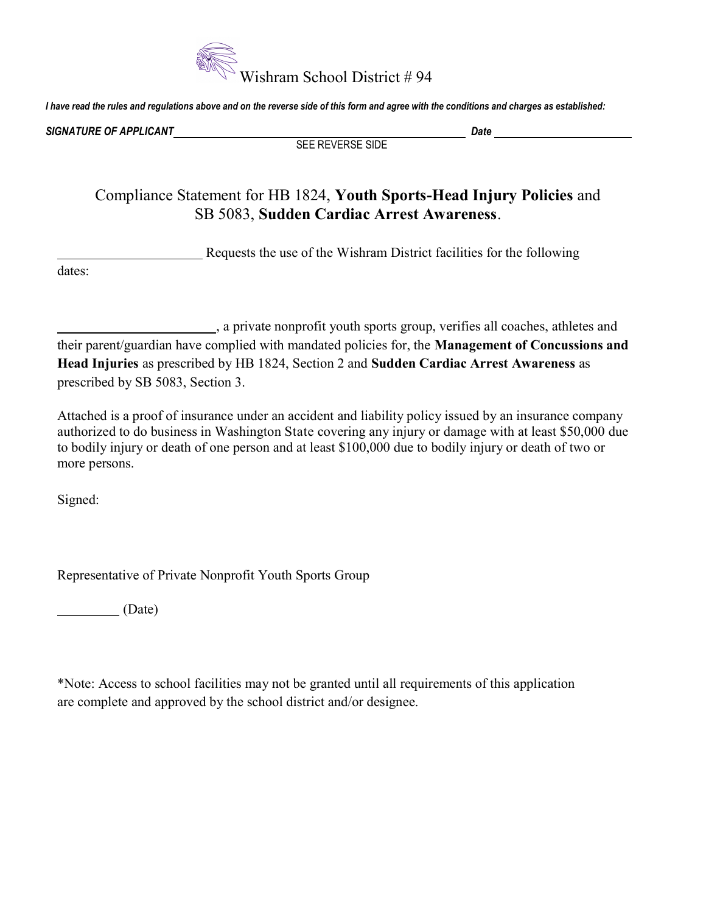

I have read the rules and regulations above and on the reverse side of this form and agree with the conditions and charges as established:

SIGNATURE OF APPLICANT DATA AND A SIGNATURE OF APPLICANT DATA AND DATA AND DATA AND DATA AND DATA AND DATA AND

SEE REVERSE SIDE

Compliance Statement for HB 1824, Youth Sports-Head Injury Policies and SB 5083, Sudden Cardiac Arrest Awareness.

Requests the use of the Wishram District facilities for the following

dates:

 , a private nonprofit youth sports group, verifies all coaches, athletes and their parent/guardian have complied with mandated policies for, the Management of Concussions and Head Injuries as prescribed by HB 1824, Section 2 and Sudden Cardiac Arrest Awareness as prescribed by SB 5083, Section 3.

Attached is a proof of insurance under an accident and liability policy issued by an insurance company authorized to do business in Washington State covering any injury or damage with at least \$50,000 due to bodily injury or death of one person and at least \$100,000 due to bodily injury or death of two or more persons.

Signed:

Representative of Private Nonprofit Youth Sports Group

(Date)

\*Note: Access to school facilities may not be granted until all requirements of this application are complete and approved by the school district and/or designee.